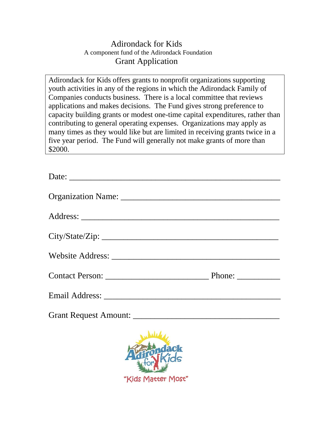## Adirondack for Kids A component fund of the Adirondack Foundation Grant Application

Adirondack for Kids offers grants to nonprofit organizations supporting youth activities in any of the regions in which the Adirondack Family of Companies conducts business. There is a local committee that reviews applications and makes decisions. The Fund gives strong preference to capacity building grants or modest one-time capital expenditures, rather than contributing to general operating expenses. Organizations may apply as many times as they would like but are limited in receiving grants twice in a five year period. The Fund will generally not make grants of more than \$2000.

| Date: |  |
|-------|--|
|       |  |
|       |  |
|       |  |
|       |  |
|       |  |
|       |  |
|       |  |